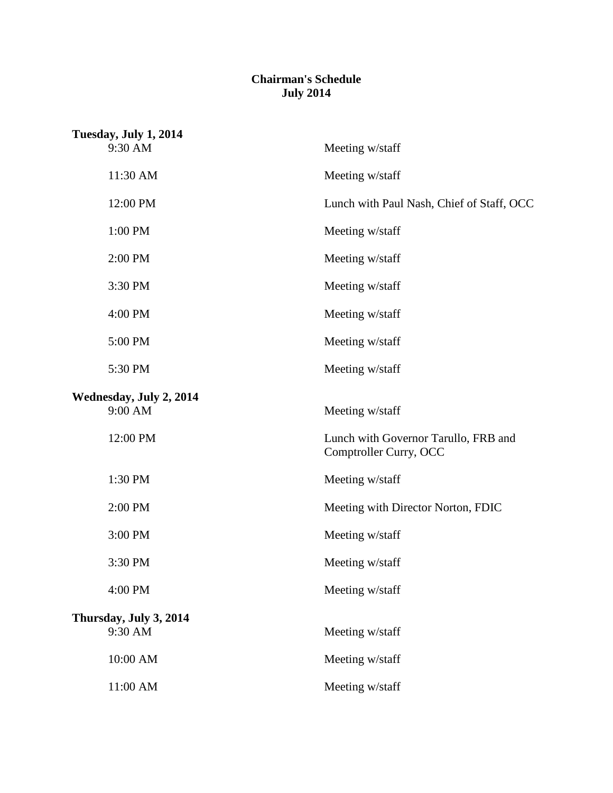## **Chairman's Schedule July 2014**

| Tuesday, July 1, 2014              |                                                                |
|------------------------------------|----------------------------------------------------------------|
| 9:30 AM                            | Meeting w/staff                                                |
| 11:30 AM                           | Meeting w/staff                                                |
| 12:00 PM                           | Lunch with Paul Nash, Chief of Staff, OCC                      |
| 1:00 PM                            | Meeting w/staff                                                |
| 2:00 PM                            | Meeting w/staff                                                |
| 3:30 PM                            | Meeting w/staff                                                |
| 4:00 PM                            | Meeting w/staff                                                |
| 5:00 PM                            | Meeting w/staff                                                |
| 5:30 PM                            | Meeting w/staff                                                |
| Wednesday, July 2, 2014<br>9:00 AM | Meeting w/staff                                                |
| 12:00 PM                           | Lunch with Governor Tarullo, FRB and<br>Comptroller Curry, OCC |
| 1:30 PM                            | Meeting w/staff                                                |
| 2:00 PM                            | Meeting with Director Norton, FDIC                             |
| 3:00 PM                            | Meeting w/staff                                                |
| 3:30 PM                            | Meeting w/staff                                                |
| 4:00 PM                            | Meeting w/staff                                                |
| Thursday, July 3, 2014<br>9:30 AM  | Meeting w/staff                                                |
| 10:00 AM                           | Meeting w/staff                                                |
| 11:00 AM                           | Meeting w/staff                                                |
|                                    |                                                                |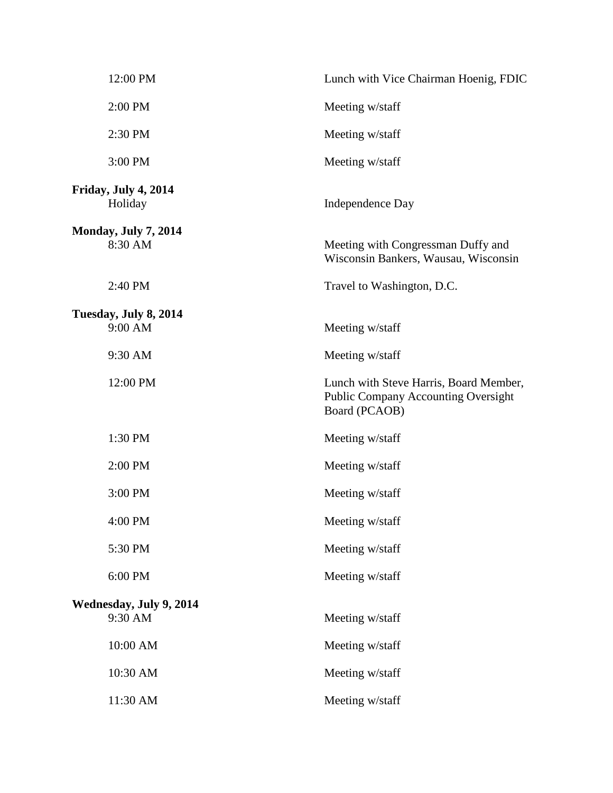| 12:00 PM                               | Lunch with Vice Chairman Hoenig, FDIC                                                                 |
|----------------------------------------|-------------------------------------------------------------------------------------------------------|
| 2:00 PM                                | Meeting w/staff                                                                                       |
| 2:30 PM                                | Meeting w/staff                                                                                       |
| 3:00 PM                                | Meeting w/staff                                                                                       |
| Friday, July 4, 2014<br>Holiday        | Independence Day                                                                                      |
| <b>Monday, July 7, 2014</b><br>8:30 AM | Meeting with Congressman Duffy and<br>Wisconsin Bankers, Wausau, Wisconsin                            |
| 2:40 PM                                | Travel to Washington, D.C.                                                                            |
| Tuesday, July 8, 2014<br>9:00 AM       | Meeting w/staff                                                                                       |
| 9:30 AM                                | Meeting w/staff                                                                                       |
| 12:00 PM                               | Lunch with Steve Harris, Board Member,<br><b>Public Company Accounting Oversight</b><br>Board (PCAOB) |
| 1:30 PM                                | Meeting w/staff                                                                                       |
| 2:00 PM                                | Meeting w/staff                                                                                       |
| 3:00 PM                                | Meeting w/staff                                                                                       |
| 4:00 PM                                | Meeting w/staff                                                                                       |
| 5:30 PM                                | Meeting w/staff                                                                                       |
| 6:00 PM                                | Meeting w/staff                                                                                       |
| Wednesday, July 9, 2014<br>9:30 AM     | Meeting w/staff                                                                                       |
| 10:00 AM                               | Meeting w/staff                                                                                       |
| 10:30 AM                               | Meeting w/staff                                                                                       |
| 11:30 AM                               | Meeting w/staff                                                                                       |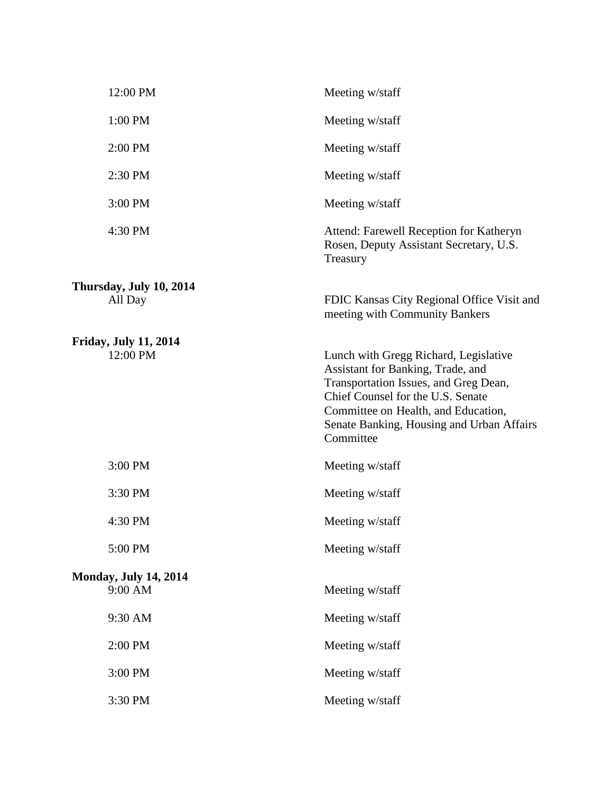| 12:00 PM                                 | Meeting w/staff                                                                                                                                                                                                                                           |
|------------------------------------------|-----------------------------------------------------------------------------------------------------------------------------------------------------------------------------------------------------------------------------------------------------------|
| 1:00 PM                                  | Meeting w/staff                                                                                                                                                                                                                                           |
| 2:00 PM                                  | Meeting w/staff                                                                                                                                                                                                                                           |
| 2:30 PM                                  | Meeting w/staff                                                                                                                                                                                                                                           |
| 3:00 PM                                  | Meeting w/staff                                                                                                                                                                                                                                           |
| 4:30 PM                                  | Attend: Farewell Reception for Katheryn<br>Rosen, Deputy Assistant Secretary, U.S.<br>Treasury                                                                                                                                                            |
| Thursday, July 10, 2014<br>All Day       | FDIC Kansas City Regional Office Visit and<br>meeting with Community Bankers                                                                                                                                                                              |
| <b>Friday, July 11, 2014</b><br>12:00 PM | Lunch with Gregg Richard, Legislative<br>Assistant for Banking, Trade, and<br>Transportation Issues, and Greg Dean,<br>Chief Counsel for the U.S. Senate<br>Committee on Health, and Education,<br>Senate Banking, Housing and Urban Affairs<br>Committee |
| 3:00 PM                                  | Meeting w/staff                                                                                                                                                                                                                                           |
| 3:30 PM                                  | Meeting w/staff                                                                                                                                                                                                                                           |
| 4:30 PM                                  | Meeting w/staff                                                                                                                                                                                                                                           |
| 5:00 PM                                  | Meeting w/staff                                                                                                                                                                                                                                           |
| <b>Monday, July 14, 2014</b><br>9:00 AM  | Meeting w/staff                                                                                                                                                                                                                                           |
| 9:30 AM                                  | Meeting w/staff                                                                                                                                                                                                                                           |
| 2:00 PM                                  | Meeting w/staff                                                                                                                                                                                                                                           |
| 3:00 PM                                  | Meeting w/staff                                                                                                                                                                                                                                           |
| 3:30 PM                                  | Meeting w/staff                                                                                                                                                                                                                                           |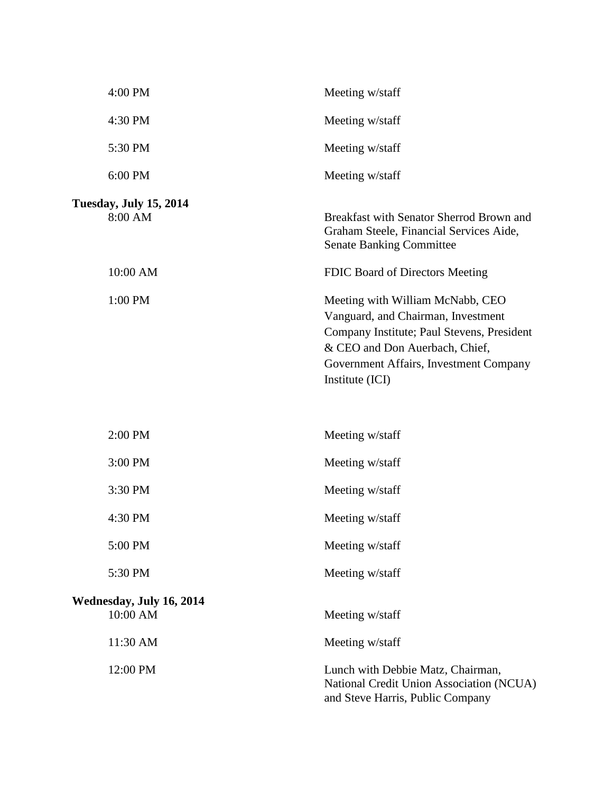| 4:00 PM                                  | Meeting w/staff                                                                                                                                                                                                     |
|------------------------------------------|---------------------------------------------------------------------------------------------------------------------------------------------------------------------------------------------------------------------|
| 4:30 PM                                  | Meeting w/staff                                                                                                                                                                                                     |
| 5:30 PM                                  | Meeting w/staff                                                                                                                                                                                                     |
| 6:00 PM                                  | Meeting w/staff                                                                                                                                                                                                     |
| <b>Tuesday, July 15, 2014</b><br>8:00 AM | Breakfast with Senator Sherrod Brown and<br>Graham Steele, Financial Services Aide,<br><b>Senate Banking Committee</b>                                                                                              |
| 10:00 AM                                 | FDIC Board of Directors Meeting                                                                                                                                                                                     |
| 1:00 PM                                  | Meeting with William McNabb, CEO<br>Vanguard, and Chairman, Investment<br>Company Institute; Paul Stevens, President<br>& CEO and Don Auerbach, Chief,<br>Government Affairs, Investment Company<br>Institute (ICI) |
| 2:00 PM                                  | Meeting w/staff                                                                                                                                                                                                     |
| 3:00 PM                                  | Meeting w/staff                                                                                                                                                                                                     |
| 3:30 PM                                  | Meeting w/staff                                                                                                                                                                                                     |
| 4:30 PM                                  | Meeting w/staff                                                                                                                                                                                                     |
| 5:00 PM                                  | Meeting w/staff                                                                                                                                                                                                     |
| 5:30 PM                                  | Meeting w/staff                                                                                                                                                                                                     |
| Wednesday, July 16, 2014<br>10:00 AM     | Meeting w/staff                                                                                                                                                                                                     |
| 11:30 AM                                 | Meeting w/staff                                                                                                                                                                                                     |
| 12:00 PM                                 | Lunch with Debbie Matz, Chairman,<br>National Credit Union Association (NCUA)<br>and Steve Harris, Public Company                                                                                                   |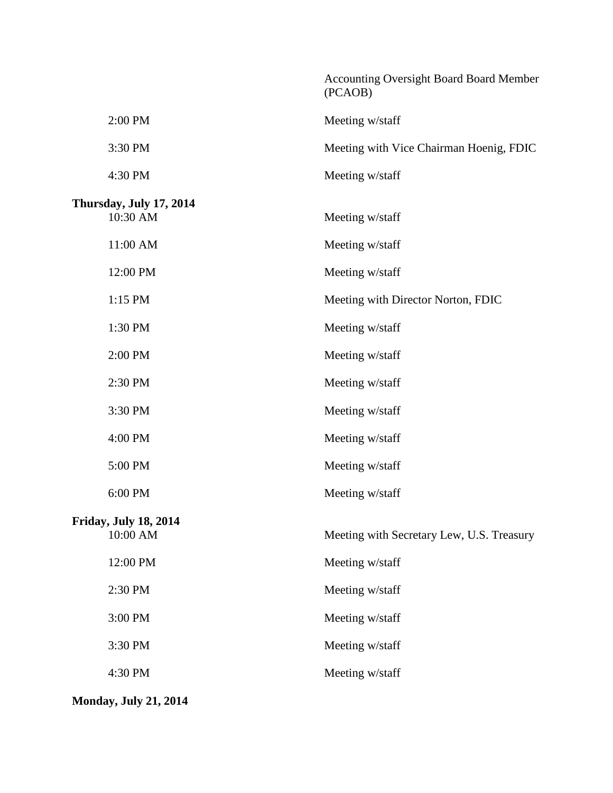|                                          |                                           | <b>Accounting Oversight Board Board Member</b><br>(PCAOB) |
|------------------------------------------|-------------------------------------------|-----------------------------------------------------------|
|                                          | 2:00 PM                                   | Meeting w/staff                                           |
|                                          | 3:30 PM                                   | Meeting with Vice Chairman Hoenig, FDIC                   |
|                                          | 4:30 PM                                   | Meeting w/staff                                           |
|                                          | Thursday, July 17, 2014<br>10:30 AM       | Meeting w/staff                                           |
|                                          | 11:00 AM                                  | Meeting w/staff                                           |
|                                          | 12:00 PM                                  | Meeting w/staff                                           |
|                                          | 1:15 PM                                   | Meeting with Director Norton, FDIC                        |
|                                          | 1:30 PM                                   | Meeting w/staff                                           |
|                                          | 2:00 PM                                   | Meeting w/staff                                           |
|                                          | 2:30 PM                                   | Meeting w/staff                                           |
|                                          | 3:30 PM                                   | Meeting w/staff                                           |
|                                          | 4:00 PM                                   | Meeting w/staff                                           |
|                                          | 5:00 PM                                   | Meeting w/staff                                           |
|                                          | 6:00 PM                                   | Meeting w/staff                                           |
| <b>Friday, July 18, 2014</b><br>10:00 AM | Meeting with Secretary Lew, U.S. Treasury |                                                           |
|                                          | 12:00 PM                                  | Meeting w/staff                                           |
|                                          | 2:30 PM                                   | Meeting w/staff                                           |
|                                          | 3:00 PM                                   | Meeting w/staff                                           |
|                                          | 3:30 PM                                   | Meeting w/staff                                           |
|                                          | 4:30 PM                                   | Meeting w/staff                                           |
|                                          |                                           |                                                           |

**Monday, July 21, 2014**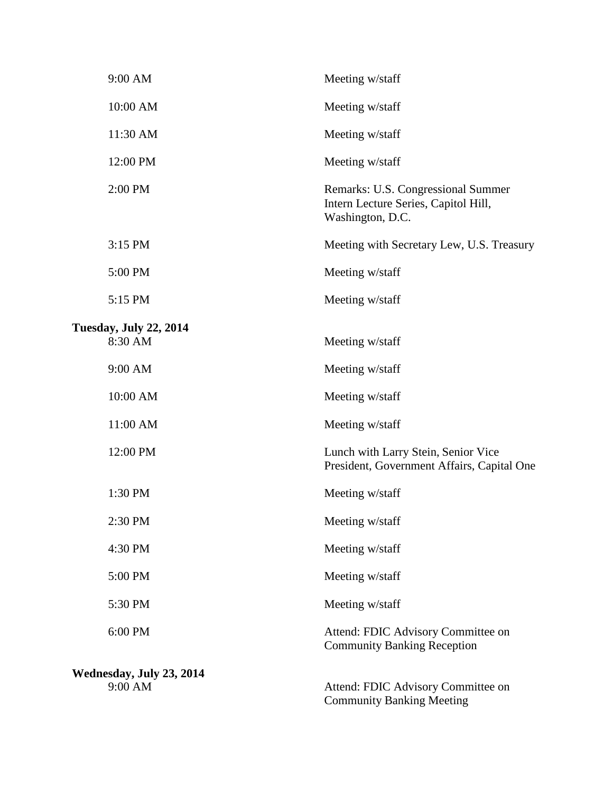| 9:00 AM                                  | Meeting w/staff                                                                                |
|------------------------------------------|------------------------------------------------------------------------------------------------|
| 10:00 AM                                 | Meeting w/staff                                                                                |
| 11:30 AM                                 | Meeting w/staff                                                                                |
| 12:00 PM                                 | Meeting w/staff                                                                                |
| 2:00 PM                                  | Remarks: U.S. Congressional Summer<br>Intern Lecture Series, Capitol Hill,<br>Washington, D.C. |
| 3:15 PM                                  | Meeting with Secretary Lew, U.S. Treasury                                                      |
| 5:00 PM                                  | Meeting w/staff                                                                                |
| 5:15 PM                                  | Meeting w/staff                                                                                |
| <b>Tuesday, July 22, 2014</b><br>8:30 AM | Meeting w/staff                                                                                |
| 9:00 AM                                  | Meeting w/staff                                                                                |
| 10:00 AM                                 | Meeting w/staff                                                                                |
| 11:00 AM                                 | Meeting w/staff                                                                                |
| 12:00 PM                                 | Lunch with Larry Stein, Senior Vice<br>President, Government Affairs, Capital One              |
| 1:30 PM                                  | Meeting w/staff                                                                                |
| 2:30 PM                                  | Meeting w/staff                                                                                |
| 4:30 PM                                  | Meeting w/staff                                                                                |
| 5:00 PM                                  | Meeting w/staff                                                                                |
| 5:30 PM                                  | Meeting w/staff                                                                                |
| 6:00 PM                                  | Attend: FDIC Advisory Committee on<br><b>Community Banking Reception</b>                       |
| Wednesday, July 23, 2014<br>9:00 AM      | Attend: FDIC Advisory Committee on<br><b>Community Banking Meeting</b>                         |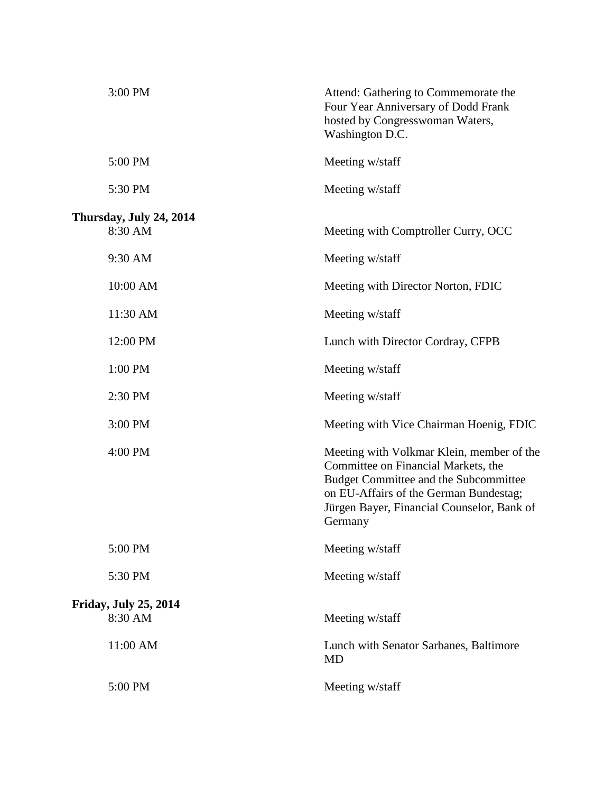| 3:00 PM                                 | Attend: Gathering to Commemorate the<br>Four Year Anniversary of Dodd Frank<br>hosted by Congresswoman Waters,<br>Washington D.C.                                                                                            |
|-----------------------------------------|------------------------------------------------------------------------------------------------------------------------------------------------------------------------------------------------------------------------------|
| 5:00 PM                                 | Meeting w/staff                                                                                                                                                                                                              |
| 5:30 PM                                 | Meeting w/staff                                                                                                                                                                                                              |
| Thursday, July 24, 2014                 |                                                                                                                                                                                                                              |
| 8:30 AM                                 | Meeting with Comptroller Curry, OCC                                                                                                                                                                                          |
| 9:30 AM                                 | Meeting w/staff                                                                                                                                                                                                              |
| 10:00 AM                                | Meeting with Director Norton, FDIC                                                                                                                                                                                           |
| 11:30 AM                                | Meeting w/staff                                                                                                                                                                                                              |
| 12:00 PM                                | Lunch with Director Cordray, CFPB                                                                                                                                                                                            |
| 1:00 PM                                 | Meeting w/staff                                                                                                                                                                                                              |
| 2:30 PM                                 | Meeting w/staff                                                                                                                                                                                                              |
| 3:00 PM                                 | Meeting with Vice Chairman Hoenig, FDIC                                                                                                                                                                                      |
| 4:00 PM                                 | Meeting with Volkmar Klein, member of the<br>Committee on Financial Markets, the<br>Budget Committee and the Subcommittee<br>on EU-Affairs of the German Bundestag;<br>Jürgen Bayer, Financial Counselor, Bank of<br>Germany |
| 5:00 PM                                 | Meeting w/staff                                                                                                                                                                                                              |
| 5:30 PM                                 | Meeting w/staff                                                                                                                                                                                                              |
| <b>Friday, July 25, 2014</b><br>8:30 AM | Meeting w/staff                                                                                                                                                                                                              |
| 11:00 AM                                | Lunch with Senator Sarbanes, Baltimore<br><b>MD</b>                                                                                                                                                                          |
| 5:00 PM                                 | Meeting w/staff                                                                                                                                                                                                              |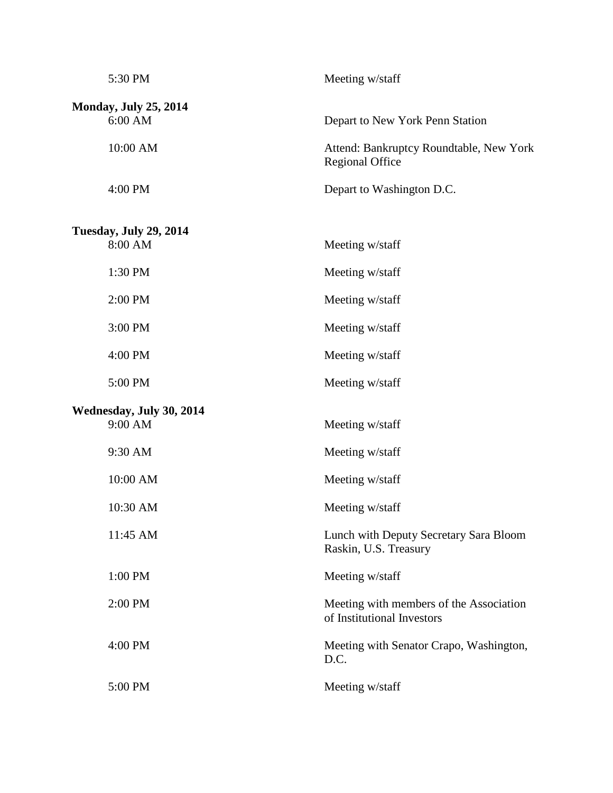| 5:30 PM                                 | Meeting w/staff                                                       |  |
|-----------------------------------------|-----------------------------------------------------------------------|--|
| <b>Monday, July 25, 2014</b><br>6:00 AM | Depart to New York Penn Station                                       |  |
| 10:00 AM                                | Attend: Bankruptcy Roundtable, New York<br><b>Regional Office</b>     |  |
| 4:00 PM                                 | Depart to Washington D.C.                                             |  |
| <b>Tuesday, July 29, 2014</b>           |                                                                       |  |
| 8:00 AM                                 | Meeting w/staff                                                       |  |
| 1:30 PM                                 | Meeting w/staff                                                       |  |
| 2:00 PM                                 | Meeting w/staff                                                       |  |
| 3:00 PM                                 | Meeting w/staff                                                       |  |
| 4:00 PM                                 | Meeting w/staff                                                       |  |
| 5:00 PM                                 | Meeting w/staff                                                       |  |
| Wednesday, July 30, 2014                |                                                                       |  |
| 9:00 AM                                 | Meeting w/staff                                                       |  |
| 9:30 AM                                 | Meeting w/staff                                                       |  |
| 10:00 AM                                | Meeting w/staff                                                       |  |
| 10:30 AM                                | Meeting w/staff                                                       |  |
| 11:45 AM                                | Lunch with Deputy Secretary Sara Bloom<br>Raskin, U.S. Treasury       |  |
| 1:00 PM                                 | Meeting w/staff                                                       |  |
| 2:00 PM                                 | Meeting with members of the Association<br>of Institutional Investors |  |
| 4:00 PM                                 | Meeting with Senator Crapo, Washington,<br>D.C.                       |  |
| 5:00 PM                                 | Meeting w/staff                                                       |  |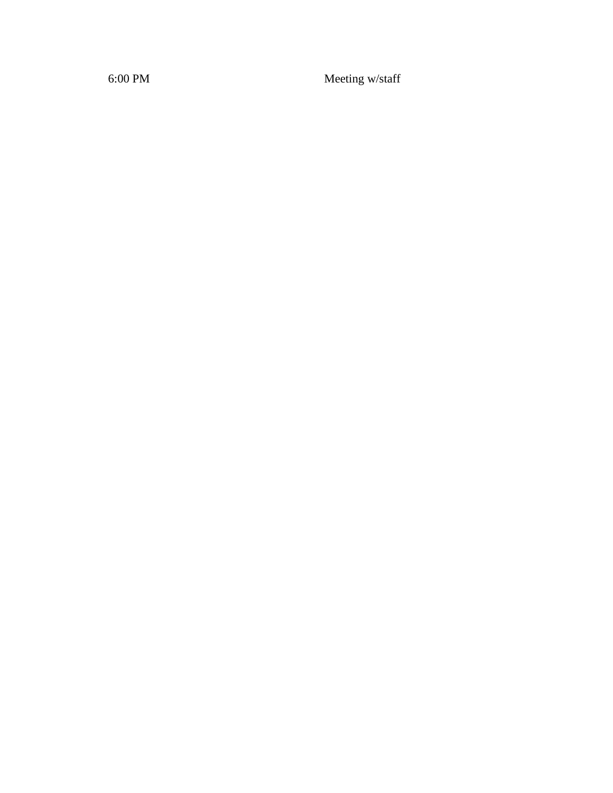6:00 PM Meeting w/staff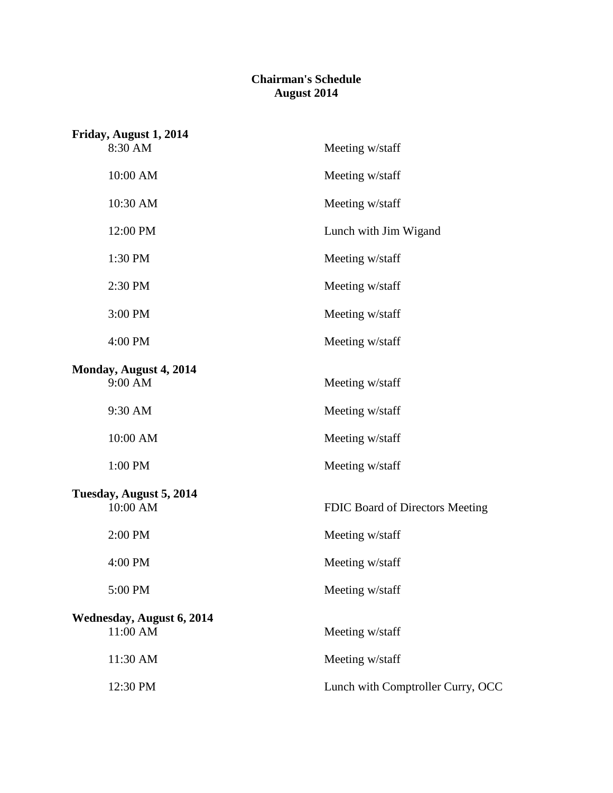## **Chairman's Schedule August 2014**

| Friday, August 1, 2014           |                                   |
|----------------------------------|-----------------------------------|
| 8:30 AM                          | Meeting w/staff                   |
| 10:00 AM                         | Meeting w/staff                   |
| 10:30 AM                         | Meeting w/staff                   |
| 12:00 PM                         | Lunch with Jim Wigand             |
| 1:30 PM                          | Meeting w/staff                   |
| 2:30 PM                          | Meeting w/staff                   |
| 3:00 PM                          | Meeting w/staff                   |
| 4:00 PM                          | Meeting w/staff                   |
| Monday, August 4, 2014           |                                   |
| 9:00 AM                          | Meeting w/staff                   |
| 9:30 AM                          | Meeting w/staff                   |
| 10:00 AM                         | Meeting w/staff                   |
| 1:00 PM                          | Meeting w/staff                   |
| Tuesday, August 5, 2014          |                                   |
| 10:00 AM                         | FDIC Board of Directors Meeting   |
| 2:00 PM                          | Meeting w/staff                   |
| 4:00 PM                          | Meeting w/staff                   |
| 5:00 PM                          | Meeting w/staff                   |
| <b>Wednesday, August 6, 2014</b> |                                   |
| 11:00 AM                         | Meeting w/staff                   |
| 11:30 AM                         | Meeting w/staff                   |
| 12:30 PM                         | Lunch with Comptroller Curry, OCC |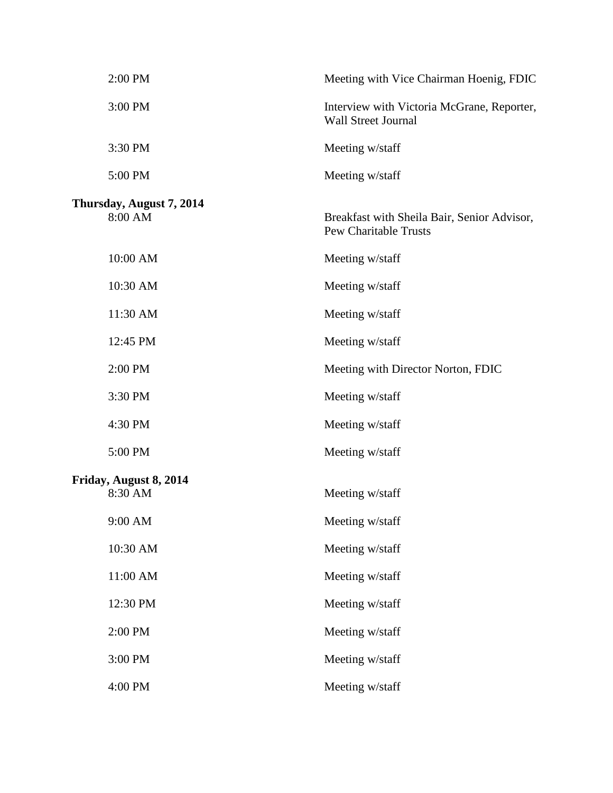| 2:00 PM                             | Meeting with Vice Chairman Hoenig, FDIC                                     |
|-------------------------------------|-----------------------------------------------------------------------------|
| 3:00 PM                             | Interview with Victoria McGrane, Reporter,<br><b>Wall Street Journal</b>    |
| 3:30 PM                             | Meeting w/staff                                                             |
| 5:00 PM                             | Meeting w/staff                                                             |
| Thursday, August 7, 2014<br>8:00 AM | Breakfast with Sheila Bair, Senior Advisor,<br><b>Pew Charitable Trusts</b> |
| 10:00 AM                            | Meeting w/staff                                                             |
| 10:30 AM                            | Meeting w/staff                                                             |
| 11:30 AM                            | Meeting w/staff                                                             |
| 12:45 PM                            | Meeting w/staff                                                             |
| 2:00 PM                             | Meeting with Director Norton, FDIC                                          |
| 3:30 PM                             | Meeting w/staff                                                             |
| 4:30 PM                             | Meeting w/staff                                                             |
| 5:00 PM                             | Meeting w/staff                                                             |
| Friday, August 8, 2014<br>8:30 AM   | Meeting w/staff                                                             |
| 9:00 AM                             | Meeting w/staff                                                             |
| 10:30 AM                            | Meeting w/staff                                                             |
| 11:00 AM                            | Meeting w/staff                                                             |
| 12:30 PM                            | Meeting w/staff                                                             |
| 2:00 PM                             | Meeting w/staff                                                             |
| 3:00 PM                             | Meeting w/staff                                                             |
| 4:00 PM                             | Meeting w/staff                                                             |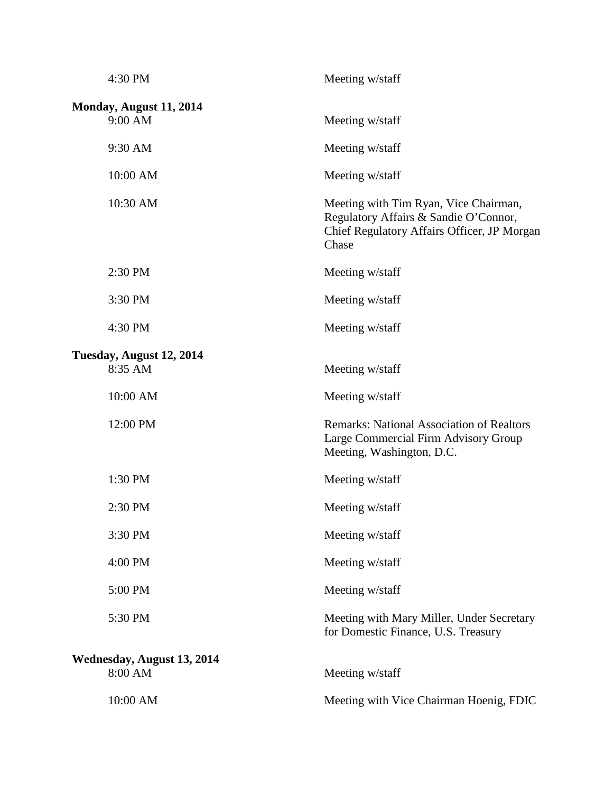| 4:30 PM                               | Meeting w/staff                                                                                                                        |
|---------------------------------------|----------------------------------------------------------------------------------------------------------------------------------------|
| Monday, August 11, 2014<br>9:00 AM    | Meeting w/staff                                                                                                                        |
| 9:30 AM                               | Meeting w/staff                                                                                                                        |
| 10:00 AM                              | Meeting w/staff                                                                                                                        |
| 10:30 AM                              | Meeting with Tim Ryan, Vice Chairman,<br>Regulatory Affairs & Sandie O'Connor,<br>Chief Regulatory Affairs Officer, JP Morgan<br>Chase |
| 2:30 PM                               | Meeting w/staff                                                                                                                        |
| 3:30 PM                               | Meeting w/staff                                                                                                                        |
| 4:30 PM                               | Meeting w/staff                                                                                                                        |
| Tuesday, August 12, 2014<br>8:35 AM   | Meeting w/staff                                                                                                                        |
| 10:00 AM                              | Meeting w/staff                                                                                                                        |
| 12:00 PM                              | <b>Remarks: National Association of Realtors</b><br>Large Commercial Firm Advisory Group<br>Meeting, Washington, D.C.                  |
| 1:30 PM                               | Meeting w/staff                                                                                                                        |
| 2:30 PM                               | Meeting w/staff                                                                                                                        |
| 3:30 PM                               | Meeting w/staff                                                                                                                        |
| 4:00 PM                               | Meeting w/staff                                                                                                                        |
| 5:00 PM                               | Meeting w/staff                                                                                                                        |
| 5:30 PM                               | Meeting with Mary Miller, Under Secretary<br>for Domestic Finance, U.S. Treasury                                                       |
| Wednesday, August 13, 2014<br>8:00 AM | Meeting w/staff                                                                                                                        |
| 10:00 AM                              | Meeting with Vice Chairman Hoenig, FDIC                                                                                                |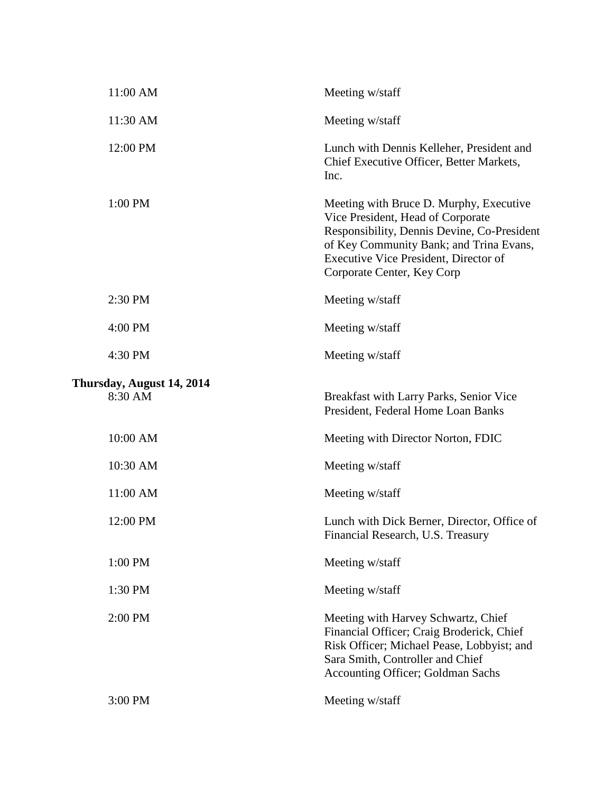| 11:00 AM                             | Meeting w/staff                                                                                                                                                                                                                               |
|--------------------------------------|-----------------------------------------------------------------------------------------------------------------------------------------------------------------------------------------------------------------------------------------------|
| 11:30 AM                             | Meeting w/staff                                                                                                                                                                                                                               |
| 12:00 PM                             | Lunch with Dennis Kelleher, President and<br>Chief Executive Officer, Better Markets,<br>Inc.                                                                                                                                                 |
| 1:00 PM                              | Meeting with Bruce D. Murphy, Executive<br>Vice President, Head of Corporate<br>Responsibility, Dennis Devine, Co-President<br>of Key Community Bank; and Trina Evans,<br>Executive Vice President, Director of<br>Corporate Center, Key Corp |
| 2:30 PM                              | Meeting w/staff                                                                                                                                                                                                                               |
| 4:00 PM                              | Meeting w/staff                                                                                                                                                                                                                               |
| 4:30 PM                              | Meeting w/staff                                                                                                                                                                                                                               |
| Thursday, August 14, 2014<br>8:30 AM | Breakfast with Larry Parks, Senior Vice<br>President, Federal Home Loan Banks                                                                                                                                                                 |
| 10:00 AM                             | Meeting with Director Norton, FDIC                                                                                                                                                                                                            |
| 10:30 AM                             | Meeting w/staff                                                                                                                                                                                                                               |
| 11:00 AM                             | Meeting w/staff                                                                                                                                                                                                                               |
| 12:00 PM                             | Lunch with Dick Berner, Director, Office of<br>Financial Research, U.S. Treasury                                                                                                                                                              |
| 1:00 PM                              | Meeting w/staff                                                                                                                                                                                                                               |
| 1:30 PM                              | Meeting w/staff                                                                                                                                                                                                                               |
| 2:00 PM                              | Meeting with Harvey Schwartz, Chief<br>Financial Officer; Craig Broderick, Chief<br>Risk Officer; Michael Pease, Lobbyist; and<br>Sara Smith, Controller and Chief<br>Accounting Officer; Goldman Sachs                                       |
| 3:00 PM                              | Meeting w/staff                                                                                                                                                                                                                               |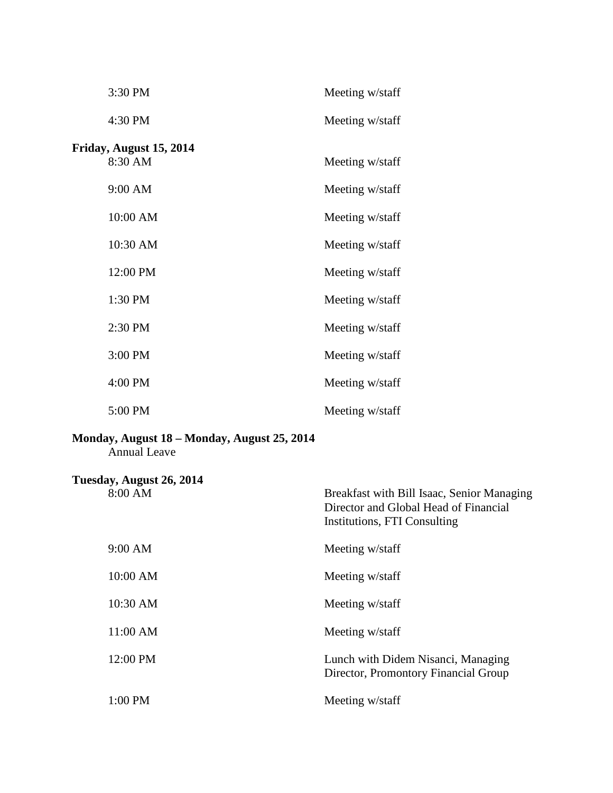| 3:30 PM                 | Meeting w/staff |
|-------------------------|-----------------|
| 4:30 PM                 | Meeting w/staff |
| Friday, August 15, 2014 |                 |
| 8:30 AM                 | Meeting w/staff |
| 9:00 AM                 | Meeting w/staff |
| 10:00 AM                | Meeting w/staff |
| 10:30 AM                | Meeting w/staff |
| 12:00 PM                | Meeting w/staff |
| 1:30 PM                 | Meeting w/staff |
| 2:30 PM                 | Meeting w/staff |
| 3:00 PM                 | Meeting w/staff |
| 4:00 PM                 | Meeting w/staff |
| 5:00 PM                 | Meeting w/staff |

## **Monday, August 18 – Monday, August 25, 2014**

Annual Leave

| Tuesday, August 26, 2014<br>8:00 AM | Breakfast with Bill Isaac, Senior Managing<br>Director and Global Head of Financial<br>Institutions, FTI Consulting |
|-------------------------------------|---------------------------------------------------------------------------------------------------------------------|
| 9:00 AM                             | Meeting w/staff                                                                                                     |
| 10:00 AM                            | Meeting w/staff                                                                                                     |
| 10:30 AM                            | Meeting w/staff                                                                                                     |
| 11:00 AM                            | Meeting w/staff                                                                                                     |
| 12:00 PM                            | Lunch with Didem Nisanci, Managing<br>Director, Promontory Financial Group                                          |
| $1:00$ PM                           | Meeting w/staff                                                                                                     |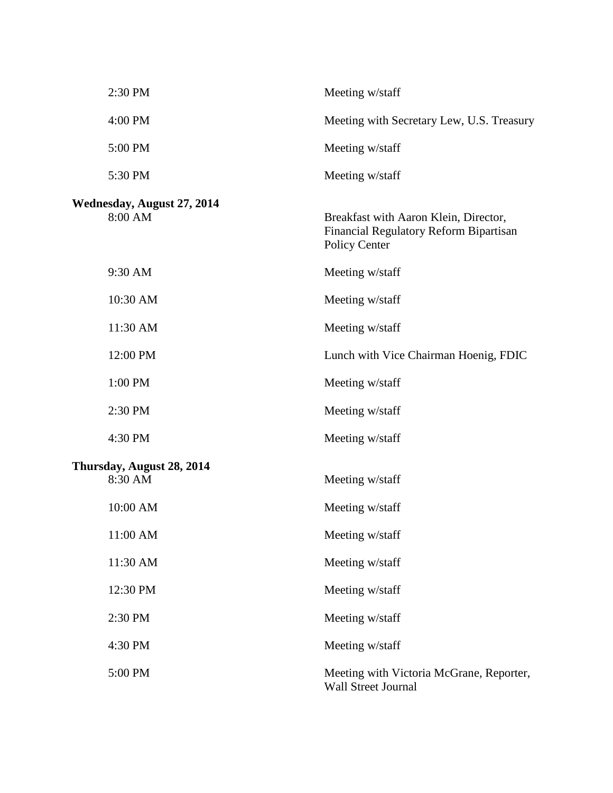| 2:30 PM                               | Meeting w/staff                                                                                  |
|---------------------------------------|--------------------------------------------------------------------------------------------------|
| 4:00 PM                               | Meeting with Secretary Lew, U.S. Treasury                                                        |
| 5:00 PM                               | Meeting w/staff                                                                                  |
| 5:30 PM                               | Meeting w/staff                                                                                  |
| Wednesday, August 27, 2014<br>8:00 AM | Breakfast with Aaron Klein, Director,<br>Financial Regulatory Reform Bipartisan<br>Policy Center |
| 9:30 AM                               | Meeting w/staff                                                                                  |
| 10:30 AM                              | Meeting w/staff                                                                                  |
| 11:30 AM                              | Meeting w/staff                                                                                  |
| 12:00 PM                              | Lunch with Vice Chairman Hoenig, FDIC                                                            |
| 1:00 PM                               | Meeting w/staff                                                                                  |
| 2:30 PM                               | Meeting w/staff                                                                                  |
| 4:30 PM                               | Meeting w/staff                                                                                  |
| Thursday, August 28, 2014<br>8:30 AM  | Meeting w/staff                                                                                  |
| 10:00 AM                              | Meeting w/staff                                                                                  |
| 11:00 AM                              | Meeting w/staff                                                                                  |
| 11:30 AM                              | Meeting w/staff                                                                                  |
| 12:30 PM                              | Meeting w/staff                                                                                  |
| 2:30 PM                               | Meeting w/staff                                                                                  |
| 4:30 PM                               | Meeting w/staff                                                                                  |
| 5:00 PM                               | Meeting with Victoria McGrane, Reporter,<br>Wall Street Journal                                  |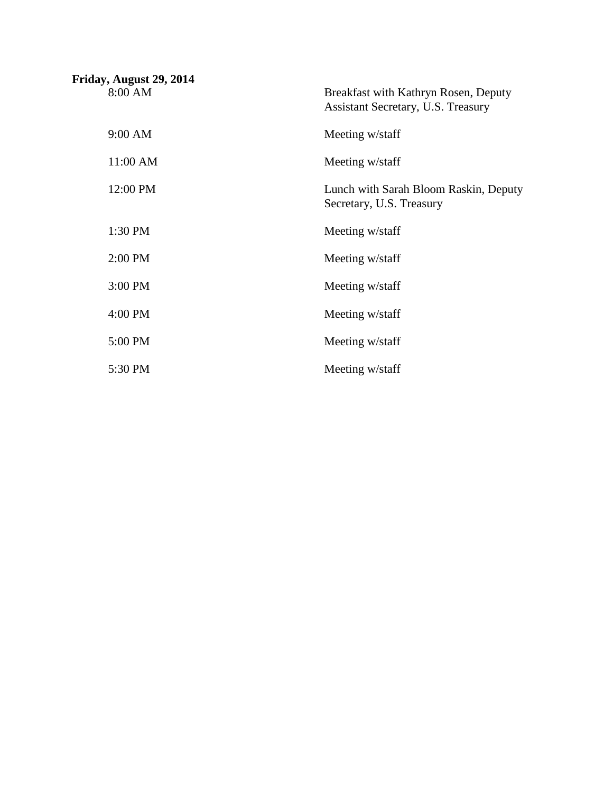| Friday, August 29, 2014 |                                                                            |
|-------------------------|----------------------------------------------------------------------------|
| 8:00 AM                 | Breakfast with Kathryn Rosen, Deputy<br>Assistant Secretary, U.S. Treasury |
| 9:00 AM                 | Meeting w/staff                                                            |
| 11:00 AM                | Meeting w/staff                                                            |
| 12:00 PM                | Lunch with Sarah Bloom Raskin, Deputy<br>Secretary, U.S. Treasury          |
| 1:30 PM                 | Meeting w/staff                                                            |
| 2:00 PM                 | Meeting w/staff                                                            |
| 3:00 PM                 | Meeting w/staff                                                            |
| 4:00 PM                 | Meeting w/staff                                                            |
| 5:00 PM                 | Meeting w/staff                                                            |
| 5:30 PM                 | Meeting w/staff                                                            |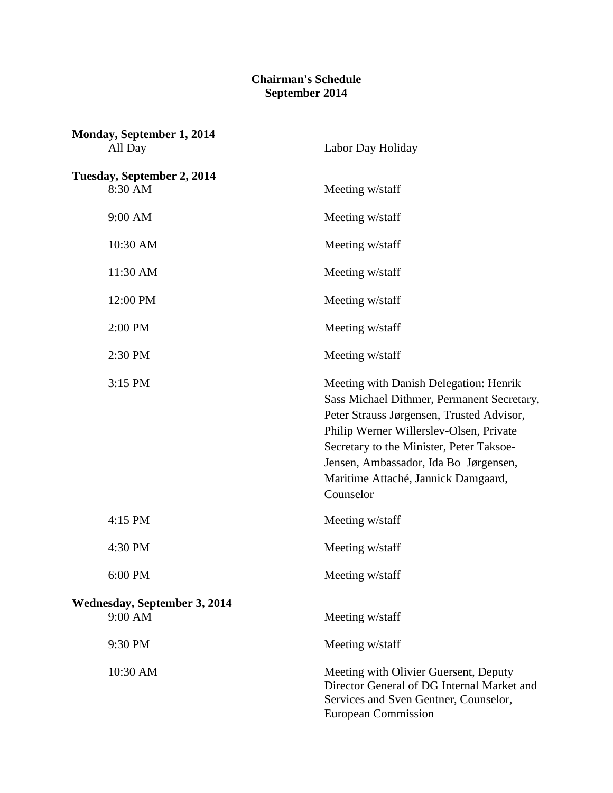## **Chairman's Schedule September 2014**

| Monday, September 1, 2014<br>All Day           | Labor Day Holiday                                                                                                                                                                                                                                                                                                     |
|------------------------------------------------|-----------------------------------------------------------------------------------------------------------------------------------------------------------------------------------------------------------------------------------------------------------------------------------------------------------------------|
| Tuesday, September 2, 2014<br>8:30 AM          | Meeting w/staff                                                                                                                                                                                                                                                                                                       |
| 9:00 AM                                        | Meeting w/staff                                                                                                                                                                                                                                                                                                       |
| 10:30 AM                                       | Meeting w/staff                                                                                                                                                                                                                                                                                                       |
| 11:30 AM                                       | Meeting w/staff                                                                                                                                                                                                                                                                                                       |
| 12:00 PM                                       | Meeting w/staff                                                                                                                                                                                                                                                                                                       |
| 2:00 PM                                        | Meeting w/staff                                                                                                                                                                                                                                                                                                       |
| 2:30 PM                                        | Meeting w/staff                                                                                                                                                                                                                                                                                                       |
| 3:15 PM                                        | Meeting with Danish Delegation: Henrik<br>Sass Michael Dithmer, Permanent Secretary,<br>Peter Strauss Jørgensen, Trusted Advisor,<br>Philip Werner Willerslev-Olsen, Private<br>Secretary to the Minister, Peter Taksoe-<br>Jensen, Ambassador, Ida Bo Jørgensen,<br>Maritime Attaché, Jannick Damgaard,<br>Counselor |
| 4:15 PM                                        | Meeting w/staff                                                                                                                                                                                                                                                                                                       |
| 4:30 PM                                        | Meeting w/staff                                                                                                                                                                                                                                                                                                       |
| 6:00 PM                                        | Meeting w/staff                                                                                                                                                                                                                                                                                                       |
| <b>Wednesday, September 3, 2014</b><br>9:00 AM | Meeting w/staff                                                                                                                                                                                                                                                                                                       |
| 9:30 PM                                        | Meeting w/staff                                                                                                                                                                                                                                                                                                       |
| 10:30 AM                                       | Meeting with Olivier Guersent, Deputy<br>Director General of DG Internal Market and<br>Services and Sven Gentner, Counselor,<br><b>European Commission</b>                                                                                                                                                            |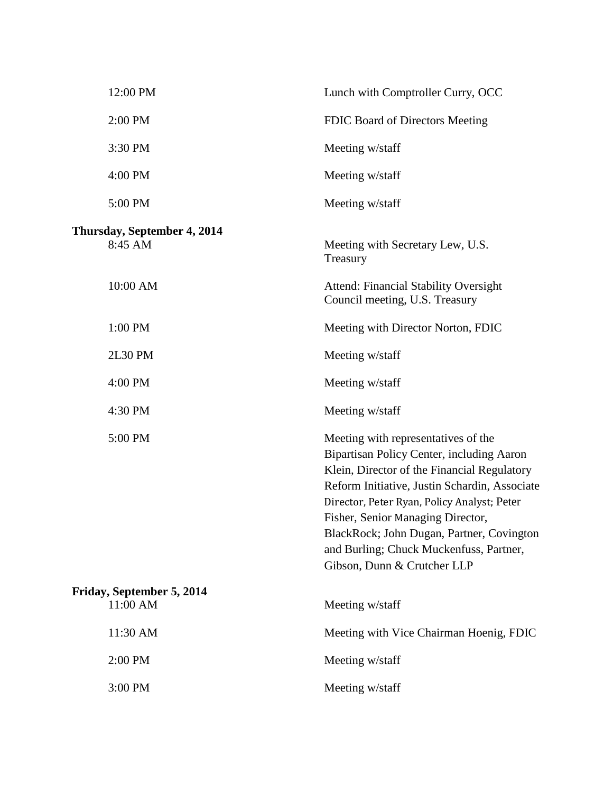| 12:00 PM                               | Lunch with Comptroller Curry, OCC                                                                                                                                                                                                                                                                                                                                                           |
|----------------------------------------|---------------------------------------------------------------------------------------------------------------------------------------------------------------------------------------------------------------------------------------------------------------------------------------------------------------------------------------------------------------------------------------------|
| 2:00 PM                                | FDIC Board of Directors Meeting                                                                                                                                                                                                                                                                                                                                                             |
| 3:30 PM                                | Meeting w/staff                                                                                                                                                                                                                                                                                                                                                                             |
| 4:00 PM                                | Meeting w/staff                                                                                                                                                                                                                                                                                                                                                                             |
| 5:00 PM                                | Meeting w/staff                                                                                                                                                                                                                                                                                                                                                                             |
| Thursday, September 4, 2014<br>8:45 AM | Meeting with Secretary Lew, U.S.<br>Treasury                                                                                                                                                                                                                                                                                                                                                |
| 10:00 AM                               | <b>Attend: Financial Stability Oversight</b><br>Council meeting, U.S. Treasury                                                                                                                                                                                                                                                                                                              |
| 1:00 PM                                | Meeting with Director Norton, FDIC                                                                                                                                                                                                                                                                                                                                                          |
| <b>2L30 PM</b>                         | Meeting w/staff                                                                                                                                                                                                                                                                                                                                                                             |
| 4:00 PM                                | Meeting w/staff                                                                                                                                                                                                                                                                                                                                                                             |
| 4:30 PM                                | Meeting w/staff                                                                                                                                                                                                                                                                                                                                                                             |
| 5:00 PM                                | Meeting with representatives of the<br>Bipartisan Policy Center, including Aaron<br>Klein, Director of the Financial Regulatory<br>Reform Initiative, Justin Schardin, Associate<br>Director, Peter Ryan, Policy Analyst; Peter<br>Fisher, Senior Managing Director,<br>BlackRock; John Dugan, Partner, Covington<br>and Burling; Chuck Muckenfuss, Partner,<br>Gibson, Dunn & Crutcher LLP |
| Friday, September 5, 2014<br>11:00 AM  | Meeting w/staff                                                                                                                                                                                                                                                                                                                                                                             |
| 11:30 AM                               | Meeting with Vice Chairman Hoenig, FDIC                                                                                                                                                                                                                                                                                                                                                     |
| 2:00 PM                                | Meeting w/staff                                                                                                                                                                                                                                                                                                                                                                             |
| 3:00 PM                                | Meeting w/staff                                                                                                                                                                                                                                                                                                                                                                             |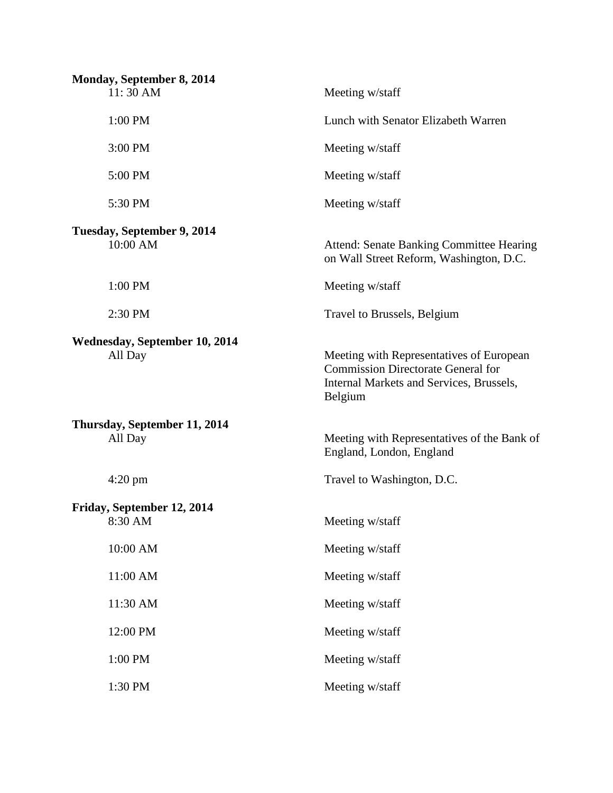| Monday, September 8, 2014<br>11:30 AM    | Meeting w/staff                                                                                                                              |
|------------------------------------------|----------------------------------------------------------------------------------------------------------------------------------------------|
| 1:00 PM                                  | Lunch with Senator Elizabeth Warren                                                                                                          |
| 3:00 PM                                  | Meeting w/staff                                                                                                                              |
| 5:00 PM                                  | Meeting w/staff                                                                                                                              |
| 5:30 PM                                  | Meeting w/staff                                                                                                                              |
| Tuesday, September 9, 2014<br>10:00 AM   | <b>Attend: Senate Banking Committee Hearing</b><br>on Wall Street Reform, Washington, D.C.                                                   |
| 1:00 PM                                  | Meeting w/staff                                                                                                                              |
| 2:30 PM                                  | Travel to Brussels, Belgium                                                                                                                  |
| Wednesday, September 10, 2014<br>All Day | Meeting with Representatives of European<br><b>Commission Directorate General for</b><br>Internal Markets and Services, Brussels,<br>Belgium |
| Thursday, September 11, 2014<br>All Day  | Meeting with Representatives of the Bank of<br>England, London, England                                                                      |
| $4:20 \text{ pm}$                        | Travel to Washington, D.C.                                                                                                                   |
| Friday, September 12, 2014<br>8:30 AM    | Meeting w/staff                                                                                                                              |
| 10:00 AM                                 | Meeting w/staff                                                                                                                              |
| 11:00 AM                                 | Meeting w/staff                                                                                                                              |
| 11:30 AM                                 | Meeting w/staff                                                                                                                              |
| 12:00 PM                                 | Meeting w/staff                                                                                                                              |
| 1:00 PM                                  | Meeting w/staff                                                                                                                              |
| 1:30 PM                                  | Meeting w/staff                                                                                                                              |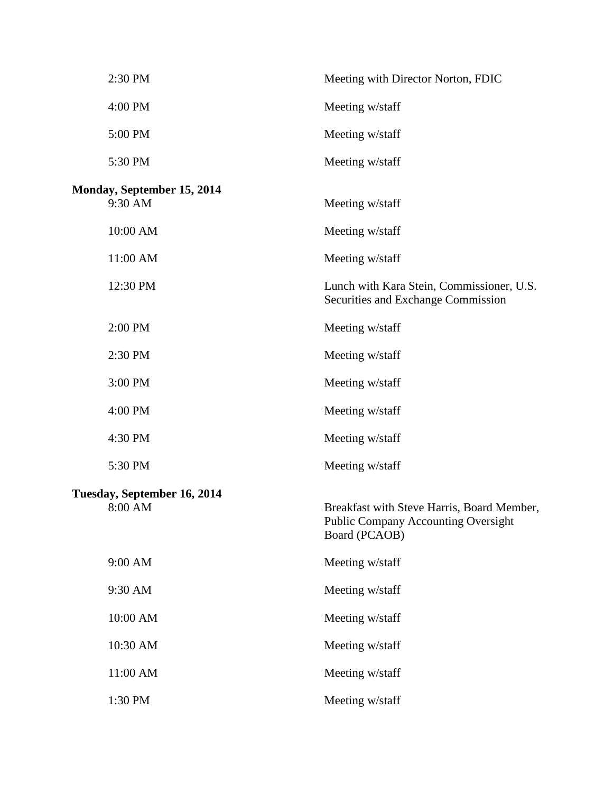| 2:30 PM                                      | Meeting with Director Norton, FDIC                                                                        |
|----------------------------------------------|-----------------------------------------------------------------------------------------------------------|
| 4:00 PM                                      | Meeting w/staff                                                                                           |
| 5:00 PM                                      | Meeting w/staff                                                                                           |
| 5:30 PM                                      | Meeting w/staff                                                                                           |
| <b>Monday, September 15, 2014</b><br>9:30 AM | Meeting w/staff                                                                                           |
| 10:00 AM                                     | Meeting w/staff                                                                                           |
| 11:00 AM                                     | Meeting w/staff                                                                                           |
| 12:30 PM                                     | Lunch with Kara Stein, Commissioner, U.S.<br>Securities and Exchange Commission                           |
| 2:00 PM                                      | Meeting w/staff                                                                                           |
| 2:30 PM                                      | Meeting w/staff                                                                                           |
| 3:00 PM                                      | Meeting w/staff                                                                                           |
| 4:00 PM                                      | Meeting w/staff                                                                                           |
| 4:30 PM                                      | Meeting w/staff                                                                                           |
| 5:30 PM                                      | Meeting w/staff                                                                                           |
| Tuesday, September 16, 2014<br>8:00 AM       | Breakfast with Steve Harris, Board Member,<br><b>Public Company Accounting Oversight</b><br>Board (PCAOB) |
| 9:00 AM                                      | Meeting w/staff                                                                                           |
| 9:30 AM                                      | Meeting w/staff                                                                                           |
| 10:00 AM                                     | Meeting w/staff                                                                                           |
| 10:30 AM                                     | Meeting w/staff                                                                                           |
| 11:00 AM                                     | Meeting w/staff                                                                                           |
| 1:30 PM                                      | Meeting w/staff                                                                                           |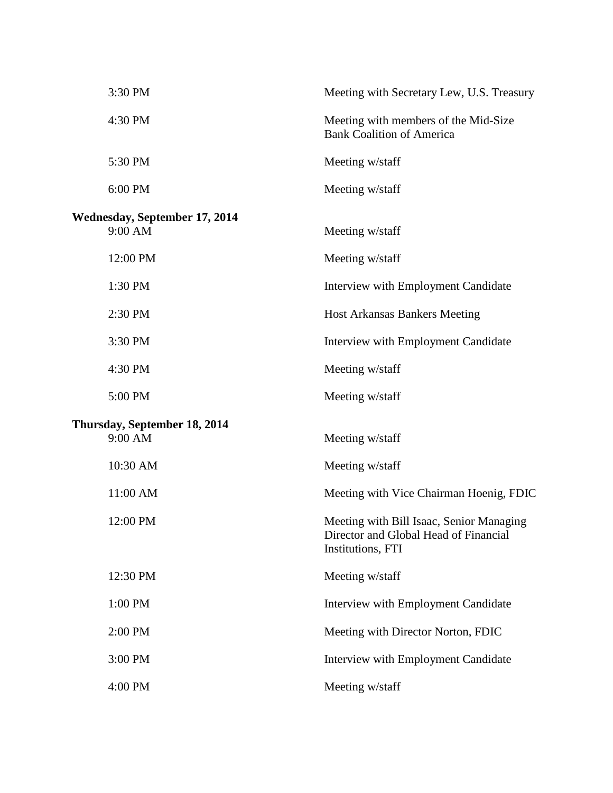| 3:30 PM                                         | Meeting with Secretary Lew, U.S. Treasury                                                              |
|-------------------------------------------------|--------------------------------------------------------------------------------------------------------|
| 4:30 PM                                         | Meeting with members of the Mid-Size<br><b>Bank Coalition of America</b>                               |
| 5:30 PM                                         | Meeting w/staff                                                                                        |
| 6:00 PM                                         | Meeting w/staff                                                                                        |
| <b>Wednesday, September 17, 2014</b><br>9:00 AM | Meeting w/staff                                                                                        |
| 12:00 PM                                        | Meeting w/staff                                                                                        |
| 1:30 PM                                         | Interview with Employment Candidate                                                                    |
| 2:30 PM                                         | <b>Host Arkansas Bankers Meeting</b>                                                                   |
| 3:30 PM                                         | Interview with Employment Candidate                                                                    |
| 4:30 PM                                         | Meeting w/staff                                                                                        |
| 5:00 PM                                         | Meeting w/staff                                                                                        |
| Thursday, September 18, 2014<br>9:00 AM         | Meeting w/staff                                                                                        |
| 10:30 AM                                        | Meeting w/staff                                                                                        |
| 11:00 AM                                        | Meeting with Vice Chairman Hoenig, FDIC                                                                |
| 12:00 PM                                        | Meeting with Bill Isaac, Senior Managing<br>Director and Global Head of Financial<br>Institutions, FTI |
| 12:30 PM                                        | Meeting w/staff                                                                                        |
| 1:00 PM                                         | Interview with Employment Candidate                                                                    |
| 2:00 PM                                         | Meeting with Director Norton, FDIC                                                                     |
| 3:00 PM                                         | Interview with Employment Candidate                                                                    |
| 4:00 PM                                         | Meeting w/staff                                                                                        |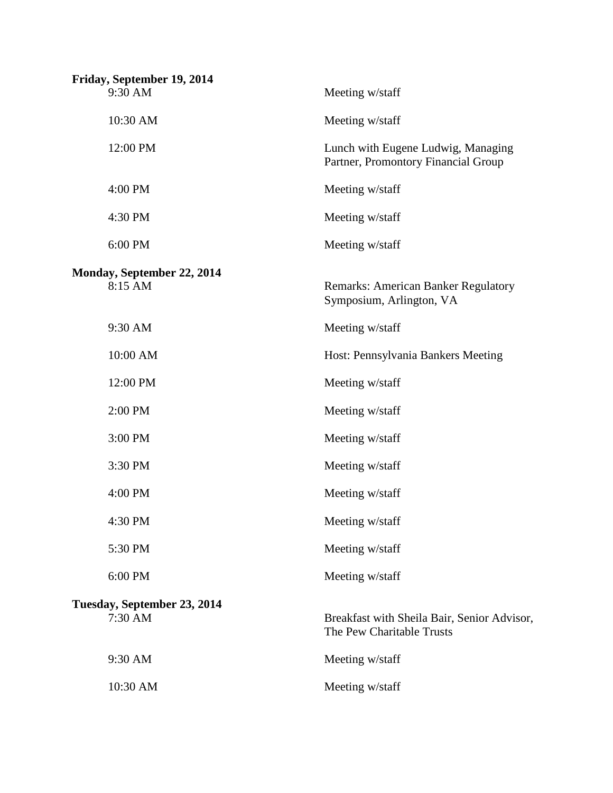| Friday, September 19, 2014<br>9:30 AM  | Meeting w/staff                                                           |
|----------------------------------------|---------------------------------------------------------------------------|
| 10:30 AM                               | Meeting w/staff                                                           |
| 12:00 PM                               | Lunch with Eugene Ludwig, Managing<br>Partner, Promontory Financial Group |
| 4:00 PM                                | Meeting w/staff                                                           |
| 4:30 PM                                | Meeting w/staff                                                           |
| 6:00 PM                                | Meeting w/staff                                                           |
| Monday, September 22, 2014<br>8:15 AM  | <b>Remarks: American Banker Regulatory</b><br>Symposium, Arlington, VA    |
| 9:30 AM                                | Meeting w/staff                                                           |
| 10:00 AM                               | Host: Pennsylvania Bankers Meeting                                        |
| 12:00 PM                               | Meeting w/staff                                                           |
| 2:00 PM                                | Meeting w/staff                                                           |
| 3:00 PM                                | Meeting w/staff                                                           |
| 3:30 PM                                | Meeting w/staff                                                           |
| 4:00 PM                                | Meeting w/staff                                                           |
| 4:30 PM                                | Meeting w/staff                                                           |
| 5:30 PM                                | Meeting w/staff                                                           |
| 6:00 PM                                | Meeting w/staff                                                           |
| Tuesday, September 23, 2014<br>7:30 AM | Breakfast with Sheila Bair, Senior Advisor,<br>The Pew Charitable Trusts  |
| 9:30 AM                                | Meeting w/staff                                                           |
| 10:30 AM                               | Meeting w/staff                                                           |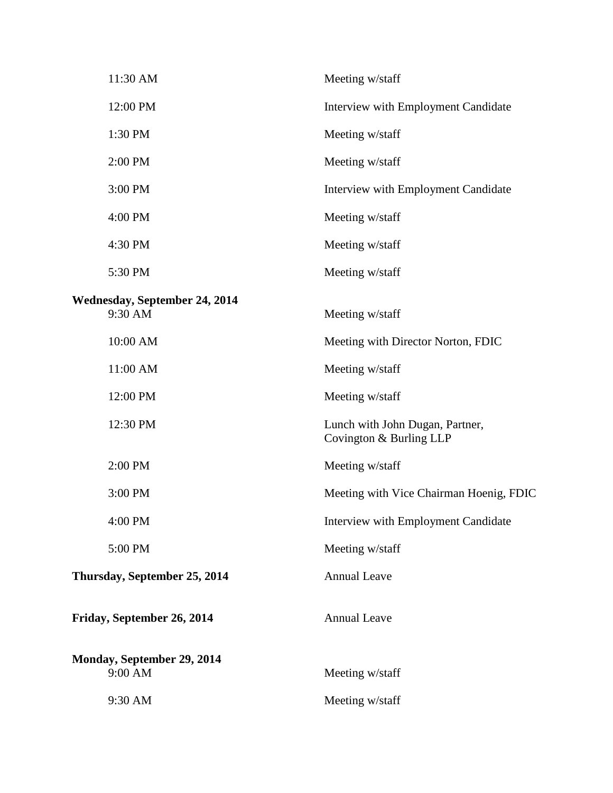| 11:30 AM                                        | Meeting w/staff                                            |
|-------------------------------------------------|------------------------------------------------------------|
| 12:00 PM                                        | Interview with Employment Candidate                        |
| 1:30 PM                                         | Meeting w/staff                                            |
| 2:00 PM                                         | Meeting w/staff                                            |
| 3:00 PM                                         | Interview with Employment Candidate                        |
| 4:00 PM                                         | Meeting w/staff                                            |
| 4:30 PM                                         | Meeting w/staff                                            |
| 5:30 PM                                         | Meeting w/staff                                            |
| <b>Wednesday, September 24, 2014</b><br>9:30 AM | Meeting w/staff                                            |
| 10:00 AM                                        | Meeting with Director Norton, FDIC                         |
| 11:00 AM                                        | Meeting w/staff                                            |
| 12:00 PM                                        | Meeting w/staff                                            |
| 12:30 PM                                        | Lunch with John Dugan, Partner,<br>Covington & Burling LLP |
| 2:00 PM                                         | Meeting w/staff                                            |
| 3:00 PM                                         | Meeting with Vice Chairman Hoenig, FDIC                    |
| 4:00 PM                                         | Interview with Employment Candidate                        |
| 5:00 PM                                         | Meeting w/staff                                            |
| Thursday, September 25, 2014                    | <b>Annual Leave</b>                                        |
| Friday, September 26, 2014                      | <b>Annual Leave</b>                                        |
| Monday, September 29, 2014<br>9:00 AM           | Meeting w/staff                                            |
| 9:30 AM                                         | Meeting w/staff                                            |